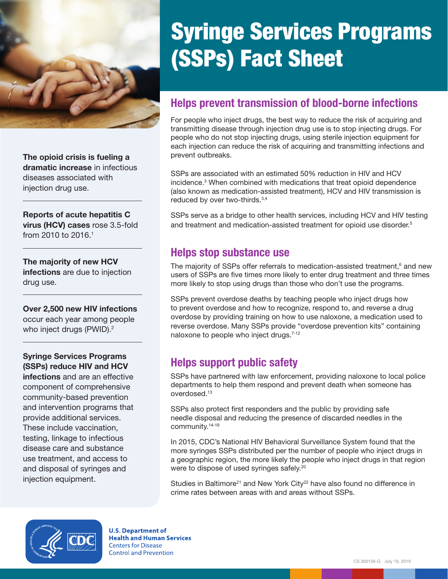<span id="page-0-0"></span>

The opioid crisis is fueling a dramatic increase in infectious diseases associated with injection drug use.

Reports of acute hepatitis C virus (HCV) cases rose 3.5-fold from 2010 to 2016.[1](#page-1-0)

The majority of new HCV infections are due to injection drug use.

Over 2,500 new HIV infections occur each year among people who inject drugs (PWID).<sup>2</sup>

#### Syringe Services Programs (SSPs) reduce HIV and HCV

infections and are an effective component of comprehensive community-based prevention and intervention programs that provide additional services. These include vaccination, testing, linkage to infectious disease care and substance use treatment, and access to and disposal of syringes and injection equipment.

# Syringe Services Programs (SSPs) Fact Sheet

## Helps prevent transmission of blood-borne infections

For people who inject drugs, the best way to reduce the risk of acquiring and transmitting disease through injection drug use is to stop injecting drugs. For people who do not stop injecting drugs, using sterile injection equipment for each injection can reduce the risk of acquiring and transmitting infections and prevent outbreaks.

SSPs are associated with an estimated 50% reduction in HIV and HCV incidence.[3](#page-1-0) When combined with medications that treat opioid dependence (also known as medication-assisted treatment), HCV and HIV transmission is reduced by over two-thirds.[3,4](#page-1-0)

SSPs serve as a bridge to other health services, including HCV and HIV testing and treatment and medication-assisted treatment for opioid use disorder.<sup>[5](#page-1-0)</sup>

#### Helps stop substance use

The majority of SSPs offer referrals to medication-assisted treatmen[t,](#page-1-0) $6$  and new users of SSPs are five times more likely to enter drug treatment and three times more likely to stop using drugs than those who don't use the programs.

SSPs prevent overdose deaths by teaching people who inject drugs how to prevent overdose and how to recognize, respond to, and reverse a drug overdose by providing training on how to use naloxone, a medication used to reverse overdose. Many SSPs provide "overdose prevention kits" containing naloxone to people who inject drugs.<sup>[7-12](#page-1-0)</sup>

### Helps support public safety

SSPs have partnered with law enforcement, providing naloxone to local police departments to help them respond and prevent death when someone has overdosed.<sup>1[3](#page-1-0)</sup>

SSPs also protect first responders and the public by providing safe needle disposal and reducing the presence of discarded needles in the community.[14-19](#page-1-0)

In 2015, CDC's National HIV Behavioral Surveillance System found that the more syringes SSPs distributed per the number of people who inject drugs in a geographic region, the more likely the people who inject drugs in that region were to dispose of used syringes safely.[20](#page-1-0)

Studies in Baltimore<sup>[21](#page-1-0)</sup> and New York City<sup>[22](#page-1-0)</sup> have also found no difference in crime rates between areas with and areas without SSPs.



**U.S. Department of Health and Human Services Centers for Disease Control and Prevention**